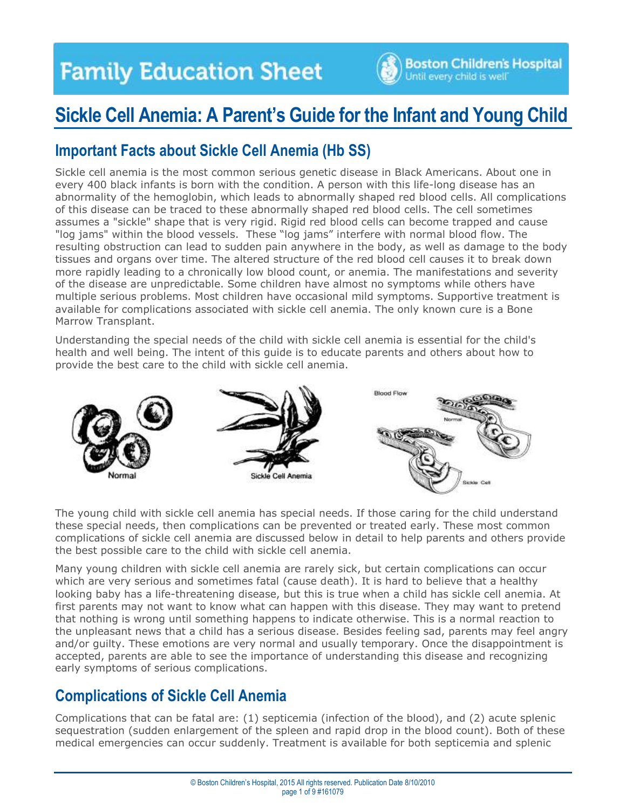

## **Sickle Cell Anemia: A Parent's Guide for the Infant and Young Child**

### **Important Facts about Sickle Cell Anemia (Hb SS)**

Sickle cell anemia is the most common serious genetic disease in Black Americans. About one in every 400 black infants is born with the condition. A person with this life-long disease has an abnormality of the hemoglobin, which leads to abnormally shaped red blood cells. All complications of this disease can be traced to these abnormally shaped red blood cells. The cell sometimes assumes a "sickle" shape that is very rigid. Rigid red blood cells can become trapped and cause "log jams" within the blood vessels. These "log jams" interfere with normal blood flow. The resulting obstruction can lead to sudden pain anywhere in the body, as well as damage to the body tissues and organs over time. The altered structure of the red blood cell causes it to break down more rapidly leading to a chronically low blood count, or anemia. The manifestations and severity of the disease are unpredictable. Some children have almost no symptoms while others have multiple serious problems. Most children have occasional mild symptoms. Supportive treatment is available for complications associated with sickle cell anemia. The only known cure is a Bone Marrow Transplant.

Understanding the special needs of the child with sickle cell anemia is essential for the child's health and well being. The intent of this guide is to educate parents and others about how to provide the best care to the child with sickle cell anemia.



The young child with sickle cell anemia has special needs. If those caring for the child understand these special needs, then complications can be prevented or treated early. These most common complications of sickle cell anemia are discussed below in detail to help parents and others provide the best possible care to the child with sickle cell anemia.

Many young children with sickle cell anemia are rarely sick, but certain complications can occur which are very serious and sometimes fatal (cause death). It is hard to believe that a healthy looking baby has a life-threatening disease, but this is true when a child has sickle cell anemia. At first parents may not want to know what can happen with this disease. They may want to pretend that nothing is wrong until something happens to indicate otherwise. This is a normal reaction to the unpleasant news that a child has a serious disease. Besides feeling sad, parents may feel angry and/or guilty. These emotions are very normal and usually temporary. Once the disappointment is accepted, parents are able to see the importance of understanding this disease and recognizing early symptoms of serious complications.

### **Complications of Sickle Cell Anemia**

Complications that can be fatal are: (1) septicemia (infection of the blood), and (2) acute splenic sequestration (sudden enlargement of the spleen and rapid drop in the blood count). Both of these medical emergencies can occur suddenly. Treatment is available for both septicemia and splenic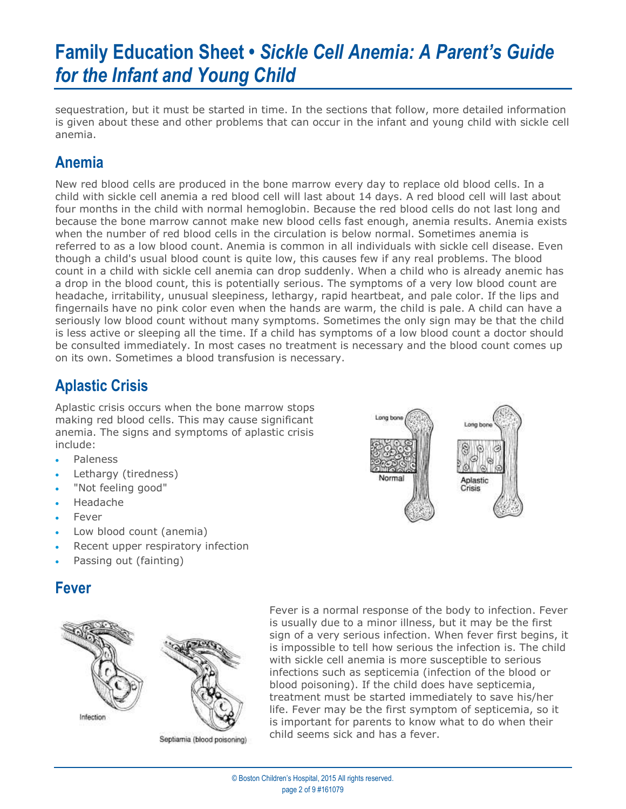sequestration, but it must be started in time. In the sections that follow, more detailed information is given about these and other problems that can occur in the infant and young child with sickle cell anemia.

## **Anemia**

New red blood cells are produced in the bone marrow every day to replace old blood cells. In a child with sickle cell anemia a red blood cell will last about 14 days. A red blood cell will last about four months in the child with normal hemoglobin. Because the red blood cells do not last long and because the bone marrow cannot make new blood cells fast enough, anemia results. Anemia exists when the number of red blood cells in the circulation is below normal. Sometimes anemia is referred to as a low blood count. Anemia is common in all individuals with sickle cell disease. Even though a child's usual blood count is quite low, this causes few if any real problems. The blood count in a child with sickle cell anemia can drop suddenly. When a child who is already anemic has a drop in the blood count, this is potentially serious. The symptoms of a very low blood count are headache, irritability, unusual sleepiness, lethargy, rapid heartbeat, and pale color. If the lips and fingernails have no pink color even when the hands are warm, the child is pale. A child can have a seriously low blood count without many symptoms. Sometimes the only sign may be that the child is less active or sleeping all the time. If a child has symptoms of a low blood count a doctor should be consulted immediately. In most cases no treatment is necessary and the blood count comes up on its own. Sometimes a blood transfusion is necessary.

## **Aplastic Crisis**

Aplastic crisis occurs when the bone marrow stops making red blood cells. This may cause significant anemia. The signs and symptoms of aplastic crisis include:

- Paleness
- Lethargy (tiredness)
- "Not feeling good"
- Headache
- Fever
- Low blood count (anemia)
- Recent upper respiratory infection
- Passing out (fainting)

### **Fever**



Septiamia (blood poisoning)

Fever is a normal response of the body to infection. Fever is usually due to a minor illness, but it may be the first sign of a very serious infection. When fever first begins, it is impossible to tell how serious the infection is. The child with sickle cell anemia is more susceptible to serious infections such as septicemia (infection of the blood or blood poisoning). If the child does have septicemia, treatment must be started immediately to save his/her life. Fever may be the first symptom of septicemia, so it is important for parents to know what to do when their child seems sick and has a fever.

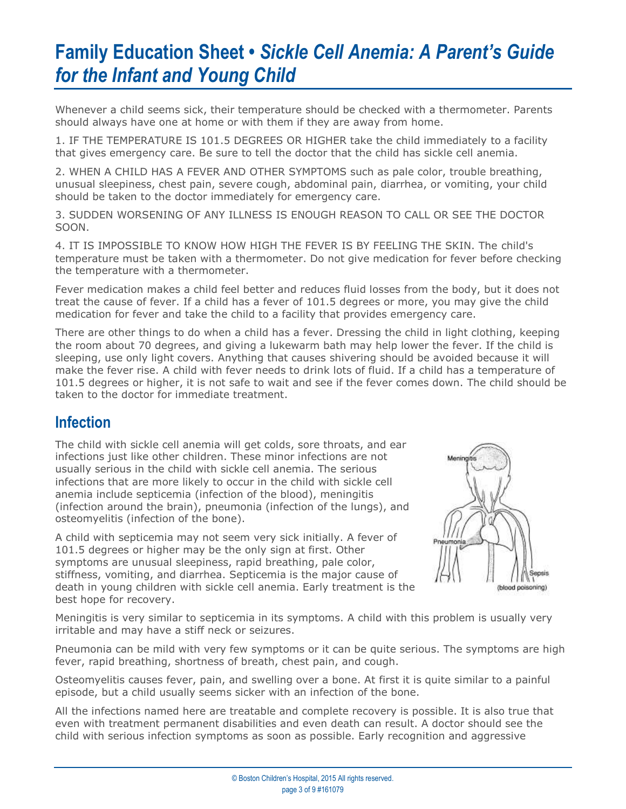Whenever a child seems sick, their temperature should be checked with a thermometer. Parents should always have one at home or with them if they are away from home.

1. IF THE TEMPERATURE IS 101.5 DEGREES OR HIGHER take the child immediately to a facility that gives emergency care. Be sure to tell the doctor that the child has sickle cell anemia.

2. WHEN A CHILD HAS A FEVER AND OTHER SYMPTOMS such as pale color, trouble breathing, unusual sleepiness, chest pain, severe cough, abdominal pain, diarrhea, or vomiting, your child should be taken to the doctor immediately for emergency care.

3. SUDDEN WORSENING OF ANY ILLNESS IS ENOUGH REASON TO CALL OR SEE THE DOCTOR SOON.

4. IT IS IMPOSSIBLE TO KNOW HOW HIGH THE FEVER IS BY FEELING THE SKIN. The child's temperature must be taken with a thermometer. Do not give medication for fever before checking the temperature with a thermometer.

Fever medication makes a child feel better and reduces fluid losses from the body, but it does not treat the cause of fever. If a child has a fever of 101.5 degrees or more, you may give the child medication for fever and take the child to a facility that provides emergency care.

There are other things to do when a child has a fever. Dressing the child in light clothing, keeping the room about 70 degrees, and giving a lukewarm bath may help lower the fever. If the child is sleeping, use only light covers. Anything that causes shivering should be avoided because it will make the fever rise. A child with fever needs to drink lots of fluid. If a child has a temperature of 101.5 degrees or higher, it is not safe to wait and see if the fever comes down. The child should be taken to the doctor for immediate treatment.

### **Infection**

The child with sickle cell anemia will get colds, sore throats, and ear infections just like other children. These minor infections are not usually serious in the child with sickle cell anemia. The serious infections that are more likely to occur in the child with sickle cell anemia include septicemia (infection of the blood), meningitis (infection around the brain), pneumonia (infection of the lungs), and osteomyelitis (infection of the bone).

A child with septicemia may not seem very sick initially. A fever of 101.5 degrees or higher may be the only sign at first. Other symptoms are unusual sleepiness, rapid breathing, pale color, stiffness, vomiting, and diarrhea. Septicemia is the major cause of death in young children with sickle cell anemia. Early treatment is the best hope for recovery.



Meningitis is very similar to septicemia in its symptoms. A child with this problem is usually very irritable and may have a stiff neck or seizures.

Pneumonia can be mild with very few symptoms or it can be quite serious. The symptoms are high fever, rapid breathing, shortness of breath, chest pain, and cough.

Osteomyelitis causes fever, pain, and swelling over a bone. At first it is quite similar to a painful episode, but a child usually seems sicker with an infection of the bone.

All the infections named here are treatable and complete recovery is possible. It is also true that even with treatment permanent disabilities and even death can result. A doctor should see the child with serious infection symptoms as soon as possible. Early recognition and aggressive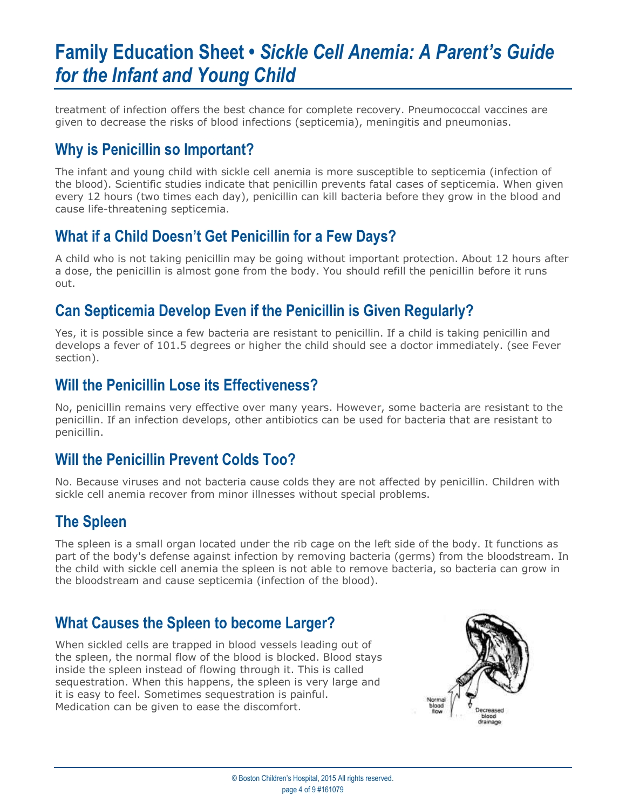treatment of infection offers the best chance for complete recovery. Pneumococcal vaccines are given to decrease the risks of blood infections (septicemia), meningitis and pneumonias.

### **Why is Penicillin so Important?**

The infant and young child with sickle cell anemia is more susceptible to septicemia (infection of the blood). Scientific studies indicate that penicillin prevents fatal cases of septicemia. When given every 12 hours (two times each day), penicillin can kill bacteria before they grow in the blood and cause life-threatening septicemia.

## **What if a Child Doesn't Get Penicillin for a Few Days?**

A child who is not taking penicillin may be going without important protection. About 12 hours after a dose, the penicillin is almost gone from the body. You should refill the penicillin before it runs out.

## **Can Septicemia Develop Even if the Penicillin is Given Regularly?**

Yes, it is possible since a few bacteria are resistant to penicillin. If a child is taking penicillin and develops a fever of 101.5 degrees or higher the child should see a doctor immediately. (see Fever section).

#### **Will the Penicillin Lose its Effectiveness?**

No, penicillin remains very effective over many years. However, some bacteria are resistant to the penicillin. If an infection develops, other antibiotics can be used for bacteria that are resistant to penicillin.

## **Will the Penicillin Prevent Colds Too?**

No. Because viruses and not bacteria cause colds they are not affected by penicillin. Children with sickle cell anemia recover from minor illnesses without special problems.

### **The Spleen**

The spleen is a small organ located under the rib cage on the left side of the body. It functions as part of the body's defense against infection by removing bacteria (germs) from the bloodstream. In the child with sickle cell anemia the spleen is not able to remove bacteria, so bacteria can grow in the bloodstream and cause septicemia (infection of the blood).

## **What Causes the Spleen to become Larger?**

When sickled cells are trapped in blood vessels leading out of the spleen, the normal flow of the blood is blocked. Blood stays inside the spleen instead of flowing through it. This is called sequestration. When this happens, the spleen is very large and it is easy to feel. Sometimes sequestration is painful. Medication can be given to ease the discomfort.

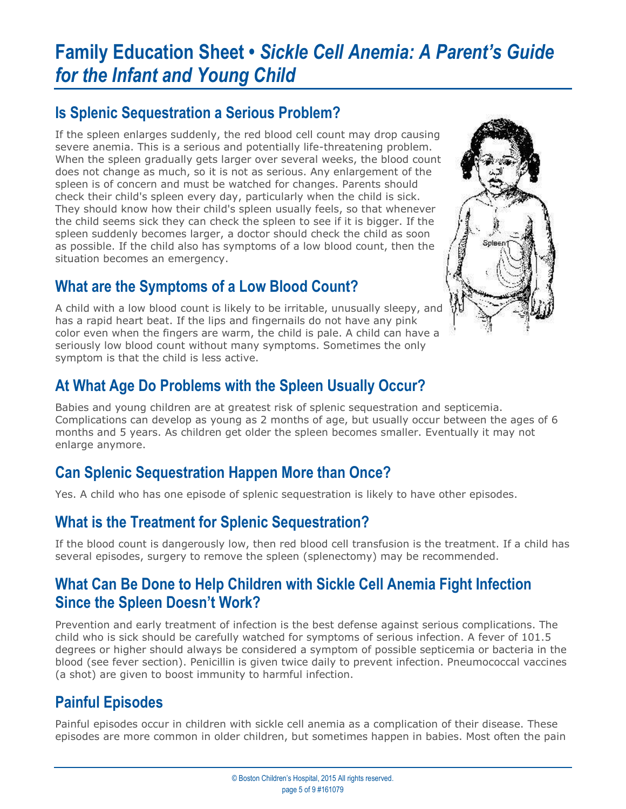## **Is Splenic Sequestration a Serious Problem?**

If the spleen enlarges suddenly, the red blood cell count may drop causing severe anemia. This is a serious and potentially life-threatening problem. When the spleen gradually gets larger over several weeks, the blood count does not change as much, so it is not as serious. Any enlargement of the spleen is of concern and must be watched for changes. Parents should check their child's spleen every day, particularly when the child is sick. They should know how their child's spleen usually feels, so that whenever the child seems sick they can check the spleen to see if it is bigger. If the spleen suddenly becomes larger, a doctor should check the child as soon as possible. If the child also has symptoms of a low blood count, then the situation becomes an emergency.

## **What are the Symptoms of a Low Blood Count?**

A child with a low blood count is likely to be irritable, unusually sleepy, and has a rapid heart beat. If the lips and fingernails do not have any pink color even when the fingers are warm, the child is pale. A child can have a seriously low blood count without many symptoms. Sometimes the only symptom is that the child is less active.



## **At What Age Do Problems with the Spleen Usually Occur?**

Babies and young children are at greatest risk of splenic sequestration and septicemia. Complications can develop as young as 2 months of age, but usually occur between the ages of 6 months and 5 years. As children get older the spleen becomes smaller. Eventually it may not enlarge anymore.

## **Can Splenic Sequestration Happen More than Once?**

Yes. A child who has one episode of splenic sequestration is likely to have other episodes.

## **What is the Treatment for Splenic Sequestration?**

If the blood count is dangerously low, then red blood cell transfusion is the treatment. If a child has several episodes, surgery to remove the spleen (splenectomy) may be recommended.

## **What Can Be Done to Help Children with Sickle Cell Anemia Fight Infection Since the Spleen Doesn't Work?**

Prevention and early treatment of infection is the best defense against serious complications. The child who is sick should be carefully watched for symptoms of serious infection. A fever of 101.5 degrees or higher should always be considered a symptom of possible septicemia or bacteria in the blood (see fever section). Penicillin is given twice daily to prevent infection. Pneumococcal vaccines (a shot) are given to boost immunity to harmful infection.

## **Painful Episodes**

Painful episodes occur in children with sickle cell anemia as a complication of their disease. These episodes are more common in older children, but sometimes happen in babies. Most often the pain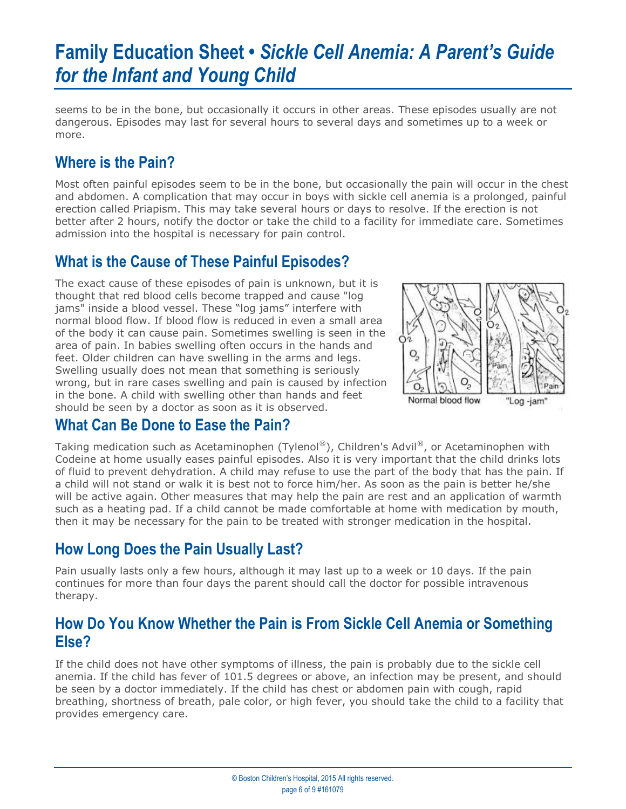seems to be in the bone, but occasionally it occurs in other areas. These episodes usually are not dangerous. Episodes may last for several hours to several days and sometimes up to a week or more.

## **Where is the Pain?**

Most often painful episodes seem to be in the bone, but occasionally the pain will occur in the chest and abdomen. A complication that may occur in boys with sickle cell anemia is a prolonged, painful erection called Priapism. This may take several hours or days to resolve. If the erection is not better after 2 hours, notify the doctor or take the child to a facility for immediate care. Sometimes admission into the hospital is necessary for pain control.

## **What is the Cause of These Painful Episodes?**

The exact cause of these episodes of pain is unknown, but it is thought that red blood cells become trapped and cause "log jams" inside a blood vessel. These "log jams" interfere with normal blood flow. If blood flow is reduced in even a small area of the body it can cause pain. Sometimes swelling is seen in the area of pain. In babies swelling often occurs in the hands and feet. Older children can have swelling in the arms and legs. Swelling usually does not mean that something is seriously wrong, but in rare cases swelling and pain is caused by infection in the bone. A child with swelling other than hands and feet should be seen by a doctor as soon as it is observed.



### **What Can Be Done to Ease the Pain?**

Taking medication such as Acetaminophen (Tylenol®), Children's Advil®, or Acetaminophen with Codeine at home usually eases painful episodes. Also it is very important that the child drinks lots of fluid to prevent dehydration. A child may refuse to use the part of the body that has the pain. If a child will not stand or walk it is best not to force him/her. As soon as the pain is better he/she will be active again. Other measures that may help the pain are rest and an application of warmth such as a heating pad. If a child cannot be made comfortable at home with medication by mouth, then it may be necessary for the pain to be treated with stronger medication in the hospital.

## **How Long Does the Pain Usually Last?**

Pain usually lasts only a few hours, although it may last up to a week or 10 days. If the pain continues for more than four days the parent should call the doctor for possible intravenous therapy.

### **How Do You Know Whether the Pain is From Sickle Cell Anemia or Something Else?**

If the child does not have other symptoms of illness, the pain is probably due to the sickle cell anemia. If the child has fever of 101.5 degrees or above, an infection may be present, and should be seen by a doctor immediately. If the child has chest or abdomen pain with cough, rapid breathing, shortness of breath, pale color, or high fever, you should take the child to a facility that provides emergency care.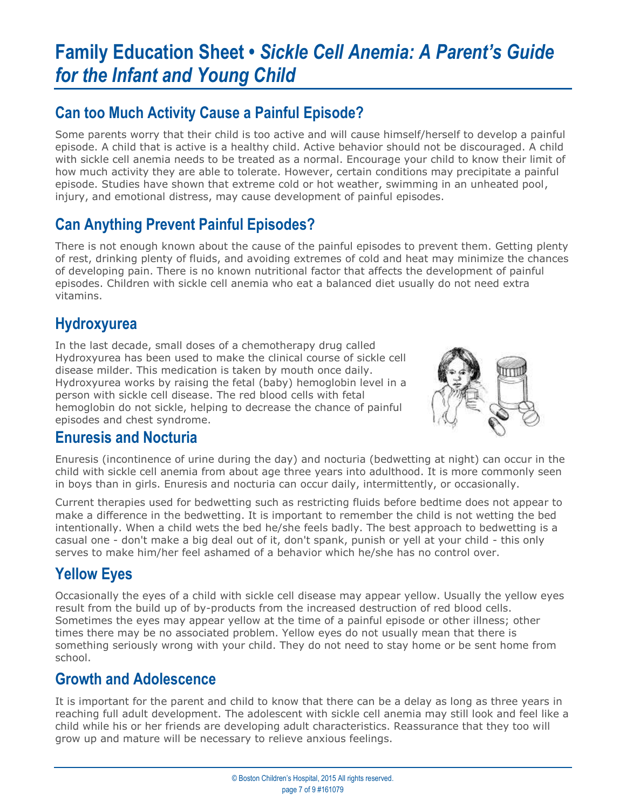## **Can too Much Activity Cause a Painful Episode?**

Some parents worry that their child is too active and will cause himself/herself to develop a painful episode. A child that is active is a healthy child. Active behavior should not be discouraged. A child with sickle cell anemia needs to be treated as a normal. Encourage your child to know their limit of how much activity they are able to tolerate. However, certain conditions may precipitate a painful episode. Studies have shown that extreme cold or hot weather, swimming in an unheated pool, injury, and emotional distress, may cause development of painful episodes.

## **Can Anything Prevent Painful Episodes?**

There is not enough known about the cause of the painful episodes to prevent them. Getting plenty of rest, drinking plenty of fluids, and avoiding extremes of cold and heat may minimize the chances of developing pain. There is no known nutritional factor that affects the development of painful episodes. Children with sickle cell anemia who eat a balanced diet usually do not need extra vitamins.

## **Hydroxyurea**

In the last decade, small doses of a chemotherapy drug called Hydroxyurea has been used to make the clinical course of sickle cell disease milder. This medication is taken by mouth once daily. Hydroxyurea works by raising the fetal (baby) hemoglobin level in a person with sickle cell disease. The red blood cells with fetal hemoglobin do not sickle, helping to decrease the chance of painful episodes and chest syndrome.



### **Enuresis and Nocturia**

Enuresis (incontinence of urine during the day) and nocturia (bedwetting at night) can occur in the child with sickle cell anemia from about age three years into adulthood. It is more commonly seen in boys than in girls. Enuresis and nocturia can occur daily, intermittently, or occasionally.

Current therapies used for bedwetting such as restricting fluids before bedtime does not appear to make a difference in the bedwetting. It is important to remember the child is not wetting the bed intentionally. When a child wets the bed he/she feels badly. The best approach to bedwetting is a casual one - don't make a big deal out of it, don't spank, punish or yell at your child - this only serves to make him/her feel ashamed of a behavior which he/she has no control over.

## **Yellow Eyes**

Occasionally the eyes of a child with sickle cell disease may appear yellow. Usually the yellow eyes result from the build up of by-products from the increased destruction of red blood cells. Sometimes the eyes may appear yellow at the time of a painful episode or other illness; other times there may be no associated problem. Yellow eyes do not usually mean that there is something seriously wrong with your child. They do not need to stay home or be sent home from school.

### **Growth and Adolescence**

It is important for the parent and child to know that there can be a delay as long as three years in reaching full adult development. The adolescent with sickle cell anemia may still look and feel like a child while his or her friends are developing adult characteristics. Reassurance that they too will grow up and mature will be necessary to relieve anxious feelings.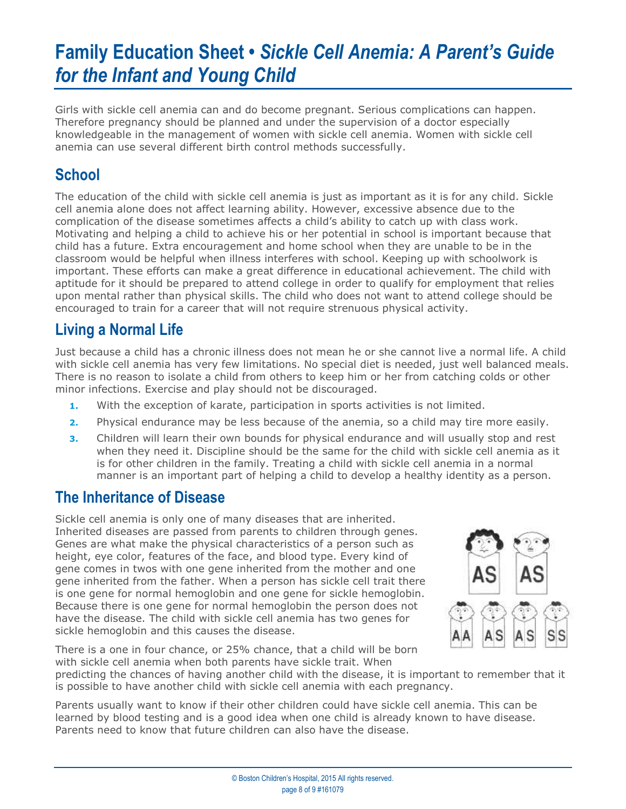Girls with sickle cell anemia can and do become pregnant. Serious complications can happen. Therefore pregnancy should be planned and under the supervision of a doctor especially knowledgeable in the management of women with sickle cell anemia. Women with sickle cell anemia can use several different birth control methods successfully.

## **School**

The education of the child with sickle cell anemia is just as important as it is for any child. Sickle cell anemia alone does not affect learning ability. However, excessive absence due to the complication of the disease sometimes affects a child's ability to catch up with class work. Motivating and helping a child to achieve his or her potential in school is important because that child has a future. Extra encouragement and home school when they are unable to be in the classroom would be helpful when illness interferes with school. Keeping up with schoolwork is important. These efforts can make a great difference in educational achievement. The child with aptitude for it should be prepared to attend college in order to qualify for employment that relies upon mental rather than physical skills. The child who does not want to attend college should be encouraged to train for a career that will not require strenuous physical activity.

## **Living a Normal Life**

Just because a child has a chronic illness does not mean he or she cannot live a normal life. A child with sickle cell anemia has very few limitations. No special diet is needed, just well balanced meals. There is no reason to isolate a child from others to keep him or her from catching colds or other minor infections. Exercise and play should not be discouraged.

- **1.** With the exception of karate, participation in sports activities is not limited.
- **2.** Physical endurance may be less because of the anemia, so a child may tire more easily.
- **3.** Children will learn their own bounds for physical endurance and will usually stop and rest when they need it. Discipline should be the same for the child with sickle cell anemia as it is for other children in the family. Treating a child with sickle cell anemia in a normal manner is an important part of helping a child to develop a healthy identity as a person.

#### **The Inheritance of Disease**

Sickle cell anemia is only one of many diseases that are inherited. Inherited diseases are passed from parents to children through genes. Genes are what make the physical characteristics of a person such as height, eye color, features of the face, and blood type. Every kind of gene comes in twos with one gene inherited from the mother and one gene inherited from the father. When a person has sickle cell trait there is one gene for normal hemoglobin and one gene for sickle hemoglobin. Because there is one gene for normal hemoglobin the person does not have the disease. The child with sickle cell anemia has two genes for sickle hemoglobin and this causes the disease.



There is a one in four chance, or 25% chance, that a child will be born with sickle cell anemia when both parents have sickle trait. When

predicting the chances of having another child with the disease, it is important to remember that it is possible to have another child with sickle cell anemia with each pregnancy.

Parents usually want to know if their other children could have sickle cell anemia. This can be learned by blood testing and is a good idea when one child is already known to have disease. Parents need to know that future children can also have the disease.